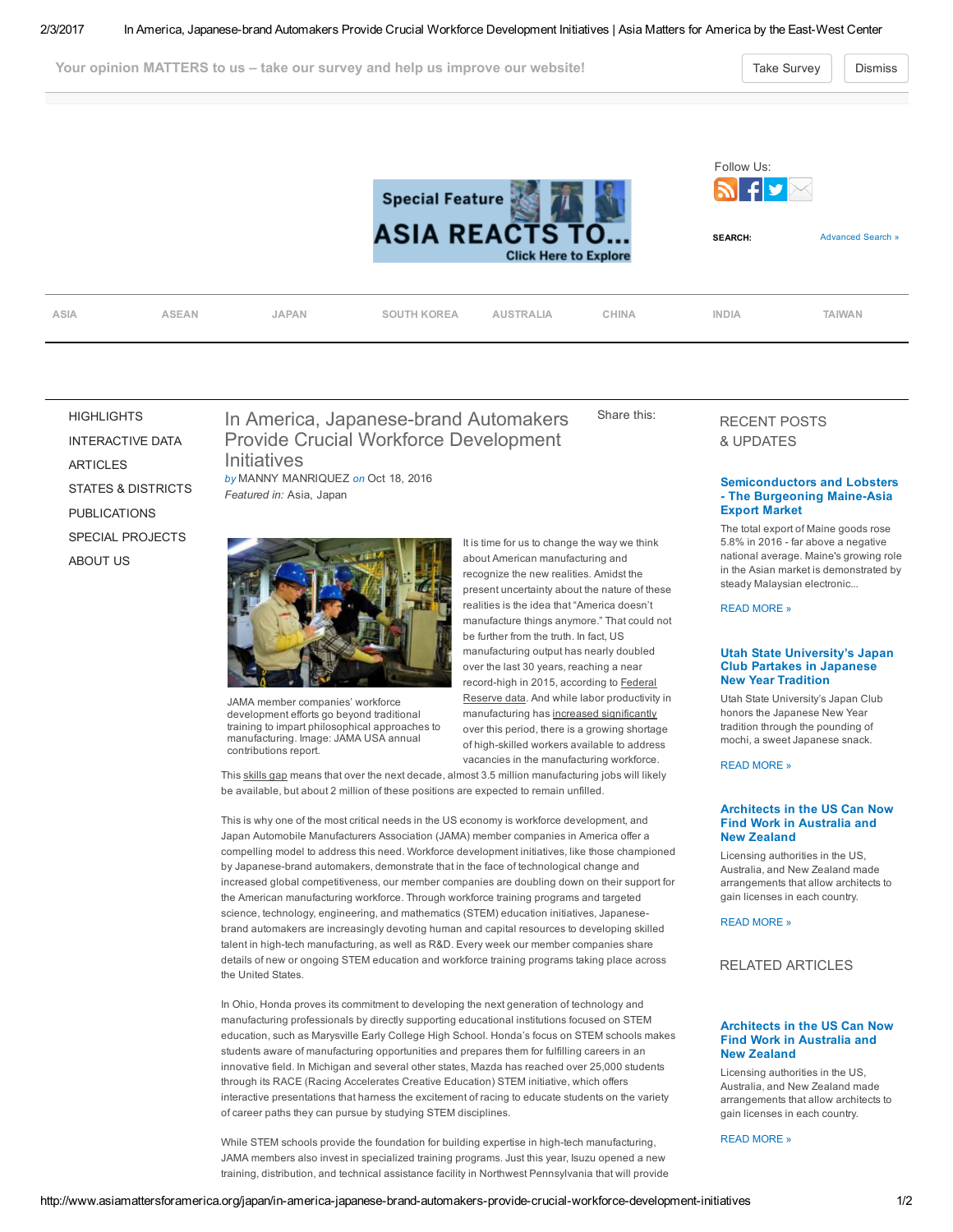Your opinion MATTERS to us – take our survey and help us improve our website! Take [Survey](https://www.surveymonkey.com/r/amawebsurvey) Take Survey Dismiss



recognize the new realities. Amidst the present uncertainty about the nature of these realities is the idea that "America doesn't manufacture things anymore." That could not be further from the truth. In fact, US manufacturing output has nearly doubled over the last 30 years, reaching a near record-high in 2015, according to Federal Reserve data. And while labor productivity in manufacturing has increased [significantly](http://www.bls.gov/lpc/prodybar.htm) over this period, there is a growing shortage of high-skilled workers available to address vacancies in the manufacturing workforce.

[HIGHLIGHTS](http://www.asiamattersforamerica.org/overview) [INTERACTIVE](http://www.asiamattersforamerica.org/asia/data) DATA [ARTICLES](http://www.asiamattersforamerica.org/asia/articles) STATES & [DISTRICTS](http://www.asiamattersforamerica.org/state-district) [PUBLICATIONS](http://www.asiamattersforamerica.org/publications) SPECIAL [PROJECTS](http://www.asiamattersforamerica.org/asia/special-projects) [ABOUT](http://www.asiamattersforamerica.org/asia/contact-us) US

# In America, Japanese-brand Automakers Provide Crucial Workforce Development Share this:



JAMA member companies' workforce development efforts go beyond traditional training to impart philosophical approaches to manufacturing. Image: JAMA USA annual contributions report.

This [skills](http://www.themanufacturinginstitute.org/~/media/827DBC76533942679A15EF7067A704CD.ashx) gap means that over the next decade, almost 3.5 million manufacturing jobs will likely be available, but about 2 million of these positions are expected to remain unfilled.

This is why one of the most critical needs in the US economy is workforce development, and Japan Automobile Manufacturers Association (JAMA) member companies in America offer a compelling model to address this need. Workforce development initiatives, like those championed by Japanese-brand automakers, demonstrate that in the face of technological change and increased global competitiveness, our member companies are doubling down on their support for the American manufacturing workforce. Through workforce training programs and targeted science, technology, engineering, and mathematics (STEM) education initiatives, Japanesebrand automakers are increasingly devoting human and capital resources to developing skilled talent in high-tech manufacturing, as well as R&D. Every week our member companies share details of new or ongoing STEM education and workforce training programs taking place across the United States.

In Ohio, Honda proves its commitment to developing the next generation of technology and manufacturing professionals by directly supporting educational institutions focused on STEM education, such as Marysville Early College High School. Honda's focus on STEM schools makes students aware of manufacturing opportunities and prepares them for fulfilling careers in an innovative field. In Michigan and several other states, Mazda has reached over 25,000 students through its RACE (Racing Accelerates Creative Education) STEM initiative, which offers interactive presentations that harness the excitement of racing to educate students on the variety of career paths they can pursue by studying STEM disciplines.

While STEM schools provide the foundation for building expertise in high-tech manufacturing, JAMA members also invest in specialized training programs. Just this year, Isuzu opened a new training, distribution, and technical assistance facility in Northwest Pennsylvania that will provide

# RECENT POSTS & UPDATES

## [Semiconductors](http://www.asiamattersforamerica.org/asia/semiconductors-and-lobsters-the-burgeoning-maine-asia-export-market) and Lobsters - The Burgeoning Maine-Asia Export Market

The total export of Maine goods rose 5.8% in 2016 far above a negative national average. Maine's growing role in the Asian market is demonstrated by steady Malaysian electronic...

READ [MORE](http://www.asiamattersforamerica.org/asia/semiconductors-and-lobsters-the-burgeoning-maine-asia-export-market) »

#### Utah State [University's](http://www.asiamattersforamerica.org/japan/utah-state-universitys-japan-club-partakes-in-japanese-new-year-tradition) Japan Club Partakes in Japanese New Year Tradition

Utah State University's Japan Club honors the Japanese New Year tradition through the pounding of mochi, a sweet Japanese snack.

READ [MORE](http://www.asiamattersforamerica.org/japan/utah-state-universitys-japan-club-partakes-in-japanese-new-year-tradition) »

#### [Architects](http://www.asiamattersforamerica.org/australia/architects-in-the-us-can-now-find-work-in-australia-and-new-zealand) in the US Can Now Find Work in Australia and New Zealand

Licensing authorities in the US, Australia, and New Zealand made arrangements that allow architects to gain licenses in each country.

READ [MORE](http://www.asiamattersforamerica.org/australia/architects-in-the-us-can-now-find-work-in-australia-and-new-zealand) »

## RELATED ARTICLES

## [Architects](http://www.asiamattersforamerica.org/australia/architects-in-the-us-can-now-find-work-in-australia-and-new-zealand) in the US Can Now Find Work in Australia and New Zealand

Licensing authorities in the US, Australia, and New Zealand made arrangements that allow architects to gain licenses in each country.

READ [MORE](http://www.asiamattersforamerica.org/australia/architects-in-the-us-can-now-find-work-in-australia-and-new-zealand) »

It is time for us to change the way we think about American manufacturing and Initiatives by MANNY MANRIQUEZ on Oct 18, 2016 Featured in: Asia, Japan